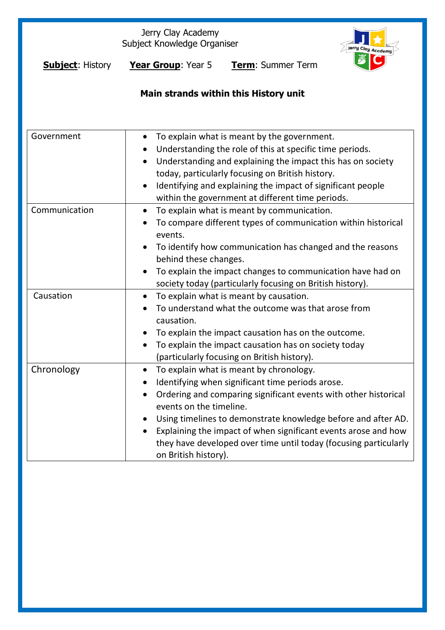|                                       | Jerry Clay Academy<br>Subject Knowledge Organiser<br>Jerry Clay Academy                                                                                                                                                                                                                                                                                                                                                               |
|---------------------------------------|---------------------------------------------------------------------------------------------------------------------------------------------------------------------------------------------------------------------------------------------------------------------------------------------------------------------------------------------------------------------------------------------------------------------------------------|
| <b>Subject: History</b>               | Year Group: Year 5<br>Term: Summer Term                                                                                                                                                                                                                                                                                                                                                                                               |
| Main strands within this History unit |                                                                                                                                                                                                                                                                                                                                                                                                                                       |
|                                       |                                                                                                                                                                                                                                                                                                                                                                                                                                       |
| Government                            | To explain what is meant by the government.<br>$\bullet$<br>Understanding the role of this at specific time periods.<br>$\bullet$<br>Understanding and explaining the impact this has on society<br>$\bullet$<br>today, particularly focusing on British history.<br>Identifying and explaining the impact of significant people<br>within the government at different time periods.                                                  |
| Communication                         | To explain what is meant by communication.<br>$\bullet$<br>To compare different types of communication within historical<br>events.<br>To identify how communication has changed and the reasons<br>behind these changes.<br>To explain the impact changes to communication have had on<br>society today (particularly focusing on British history).                                                                                  |
| Causation                             | To explain what is meant by causation.<br>$\bullet$<br>To understand what the outcome was that arose from<br>causation.<br>To explain the impact causation has on the outcome.<br>To explain the impact causation has on society today<br>(particularly focusing on British history).                                                                                                                                                 |
| Chronology                            | To explain what is meant by chronology.<br>Identifying when significant time periods arose.<br>Ordering and comparing significant events with other historical<br>$\bullet$<br>events on the timeline.<br>Using timelines to demonstrate knowledge before and after AD.<br>Explaining the impact of when significant events arose and how<br>they have developed over time until today (focusing particularly<br>on British history). |